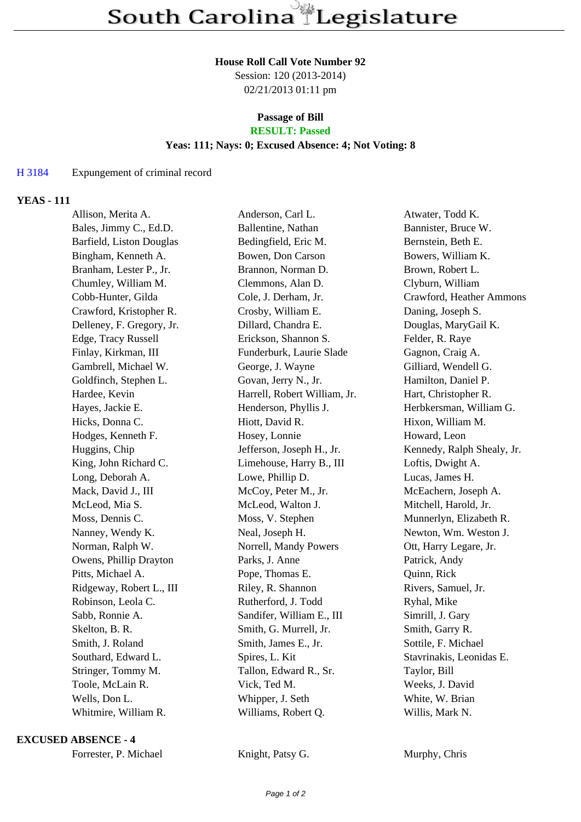### **House Roll Call Vote Number 92**

Session: 120 (2013-2014) 02/21/2013 01:11 pm

### **Passage of Bill RESULT: Passed**

### **Yeas: 111; Nays: 0; Excused Absence: 4; Not Voting: 8**

## H 3184 Expungement of criminal record

# **YEAS - 111**

| Allison, Merita A.        | Anderson, Carl L.            | Atwater, Todd K.           |
|---------------------------|------------------------------|----------------------------|
| Bales, Jimmy C., Ed.D.    | Ballentine, Nathan           | Bannister, Bruce W.        |
| Barfield, Liston Douglas  | Bedingfield, Eric M.         | Bernstein, Beth E.         |
| Bingham, Kenneth A.       | Bowen, Don Carson            | Bowers, William K.         |
| Branham, Lester P., Jr.   | Brannon, Norman D.           | Brown, Robert L.           |
| Chumley, William M.       | Clemmons, Alan D.            | Clyburn, William           |
| Cobb-Hunter, Gilda        | Cole, J. Derham, Jr.         | Crawford, Heather Ammons   |
| Crawford, Kristopher R.   | Crosby, William E.           | Daning, Joseph S.          |
| Delleney, F. Gregory, Jr. | Dillard, Chandra E.          | Douglas, MaryGail K.       |
| Edge, Tracy Russell       | Erickson, Shannon S.         | Felder, R. Raye            |
| Finlay, Kirkman, III      | Funderburk, Laurie Slade     | Gagnon, Craig A.           |
| Gambrell, Michael W.      | George, J. Wayne             | Gilliard, Wendell G.       |
| Goldfinch, Stephen L.     | Govan, Jerry N., Jr.         | Hamilton, Daniel P.        |
| Hardee, Kevin             | Harrell, Robert William, Jr. | Hart, Christopher R.       |
| Hayes, Jackie E.          | Henderson, Phyllis J.        | Herbkersman, William G.    |
| Hicks, Donna C.           | Hiott, David R.              | Hixon, William M.          |
| Hodges, Kenneth F.        | Hosey, Lonnie                | Howard, Leon               |
| Huggins, Chip             | Jefferson, Joseph H., Jr.    | Kennedy, Ralph Shealy, Jr. |
| King, John Richard C.     | Limehouse, Harry B., III     | Loftis, Dwight A.          |
| Long, Deborah A.          | Lowe, Phillip D.             | Lucas, James H.            |
| Mack, David J., III       | McCoy, Peter M., Jr.         | McEachern, Joseph A.       |
| McLeod, Mia S.            | McLeod, Walton J.            | Mitchell, Harold, Jr.      |
| Moss, Dennis C.           | Moss, V. Stephen             | Munnerlyn, Elizabeth R.    |
| Nanney, Wendy K.          | Neal, Joseph H.              | Newton, Wm. Weston J.      |
| Norman, Ralph W.          | Norrell, Mandy Powers        | Ott, Harry Legare, Jr.     |
| Owens, Phillip Drayton    | Parks, J. Anne               | Patrick, Andy              |
| Pitts, Michael A.         | Pope, Thomas E.              | Quinn, Rick                |
| Ridgeway, Robert L., III  | Riley, R. Shannon            | Rivers, Samuel, Jr.        |
| Robinson, Leola C.        | Rutherford, J. Todd          | Ryhal, Mike                |
| Sabb, Ronnie A.           | Sandifer, William E., III    | Simrill, J. Gary           |
| Skelton, B. R.            | Smith, G. Murrell, Jr.       | Smith, Garry R.            |
| Smith, J. Roland          | Smith, James E., Jr.         | Sottile, F. Michael        |
| Southard, Edward L.       | Spires, L. Kit               | Stavrinakis, Leonidas E.   |
| Stringer, Tommy M.        | Tallon, Edward R., Sr.       | Taylor, Bill               |
| Toole, McLain R.          | Vick, Ted M.                 | Weeks, J. David            |
| Wells, Don L.             | Whipper, J. Seth             | White, W. Brian            |
| Whitmire, William R.      | Williams, Robert Q.          | Willis, Mark N.            |
|                           |                              |                            |

### **EXCUSED ABSENCE - 4**

Knight, Patsy G. Murphy, Chris